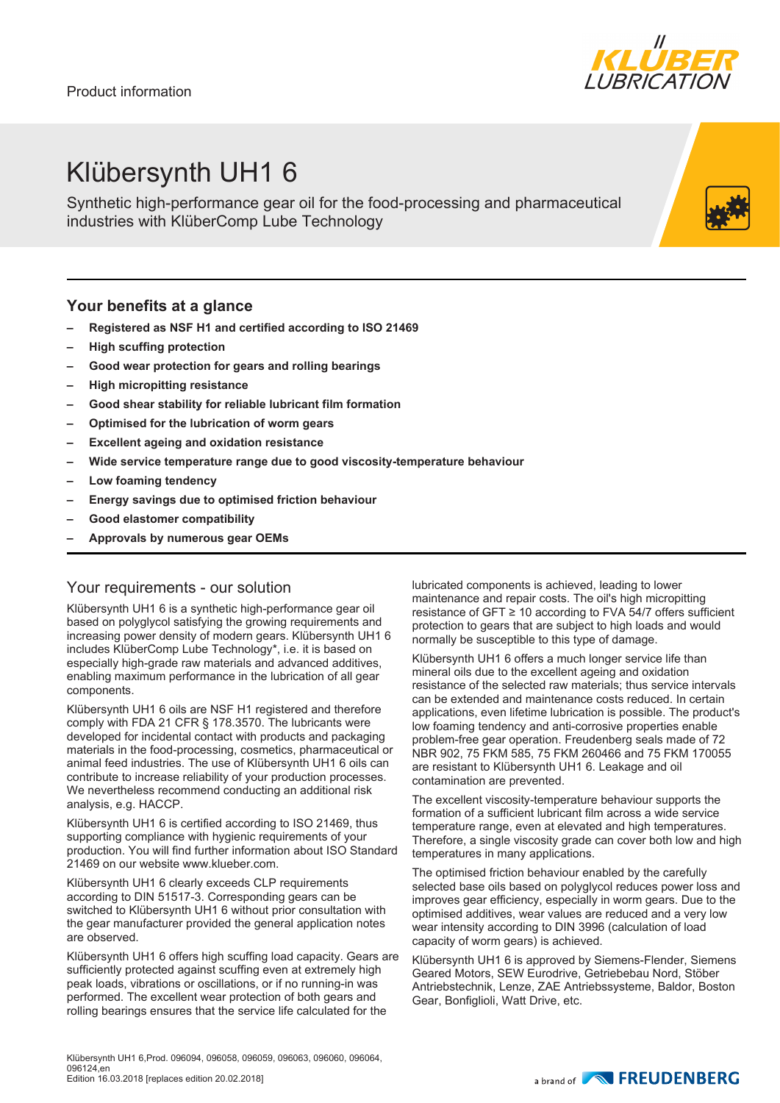

## Klübersynth UH1 6

Synthetic high-performance gear oil for the food-processing and pharmaceutical industries with KlüberComp Lube Technology

#### **Your benefits at a glance**

- **– Registered as NSF H1 and certified according to ISO 21469**
- **– High scuffing protection**
- **– Good wear protection for gears and rolling bearings**
- **– High micropitting resistance**
- **– Good shear stability for reliable lubricant film formation**
- **– Optimised for the lubrication of worm gears**
- **– Excellent ageing and oxidation resistance**
- **– Wide service temperature range due to good viscosity-temperature behaviour**
- **– Low foaming tendency**
- **– Energy savings due to optimised friction behaviour**
- **– Good elastomer compatibility**
- **– Approvals by numerous gear OEMs**

#### Your requirements - our solution

Klübersynth UH1 6 is a synthetic high-performance gear oil based on polyglycol satisfying the growing requirements and increasing power density of modern gears. Klübersynth UH1 6 includes KlüberComp Lube Technology\*, i.e. it is based on especially high-grade raw materials and advanced additives, enabling maximum performance in the lubrication of all gear components.

Klübersynth UH1 6 oils are NSF H1 registered and therefore comply with FDA 21 CFR § 178.3570. The lubricants were developed for incidental contact with products and packaging materials in the food-processing, cosmetics, pharmaceutical or animal feed industries. The use of Klübersynth UH1 6 oils can contribute to increase reliability of your production processes. We nevertheless recommend conducting an additional risk analysis, e.g. HACCP.

Klübersynth UH1 6 is certified according to ISO 21469, thus supporting compliance with hygienic requirements of your production. You will find further information about ISO Standard 21469 on our website www.klueber.com.

Klübersynth UH1 6 clearly exceeds CLP requirements according to DIN 51517-3. Corresponding gears can be switched to Klübersynth UH1 6 without prior consultation with the gear manufacturer provided the general application notes are observed.

Klübersynth UH1 6 offers high scuffing load capacity. Gears are sufficiently protected against scuffing even at extremely high peak loads, vibrations or oscillations, or if no running-in was performed. The excellent wear protection of both gears and rolling bearings ensures that the service life calculated for the

Klübersynth UH1 6,Prod. 096094, 096058, 096059, 096063, 096060, 096064, 096124,en Edition 16.03.2018 [replaces edition 20.02.2018]

lubricated components is achieved, leading to lower maintenance and repair costs. The oil's high micropitting resistance of GFT ≥ 10 according to FVA 54/7 offers sufficient protection to gears that are subject to high loads and would normally be susceptible to this type of damage.

Klübersynth UH1 6 offers a much longer service life than mineral oils due to the excellent ageing and oxidation resistance of the selected raw materials; thus service intervals can be extended and maintenance costs reduced. In certain applications, even lifetime lubrication is possible. The product's low foaming tendency and anti-corrosive properties enable problem-free gear operation. Freudenberg seals made of 72 NBR 902, 75 FKM 585, 75 FKM 260466 and 75 FKM 170055 are resistant to Klübersynth UH1 6. Leakage and oil contamination are prevented.

The excellent viscosity-temperature behaviour supports the formation of a sufficient lubricant film across a wide service temperature range, even at elevated and high temperatures. Therefore, a single viscosity grade can cover both low and high temperatures in many applications.

The optimised friction behaviour enabled by the carefully selected base oils based on polyglycol reduces power loss and improves gear efficiency, especially in worm gears. Due to the optimised additives, wear values are reduced and a very low wear intensity according to DIN 3996 (calculation of load capacity of worm gears) is achieved.

Klübersynth UH1 6 is approved by Siemens-Flender, Siemens Geared Motors, SEW Eurodrive, Getriebebau Nord, Stöber Antriebstechnik, Lenze, ZAE Antriebssysteme, Baldor, Boston Gear, Bonfiglioli, Watt Drive, etc.

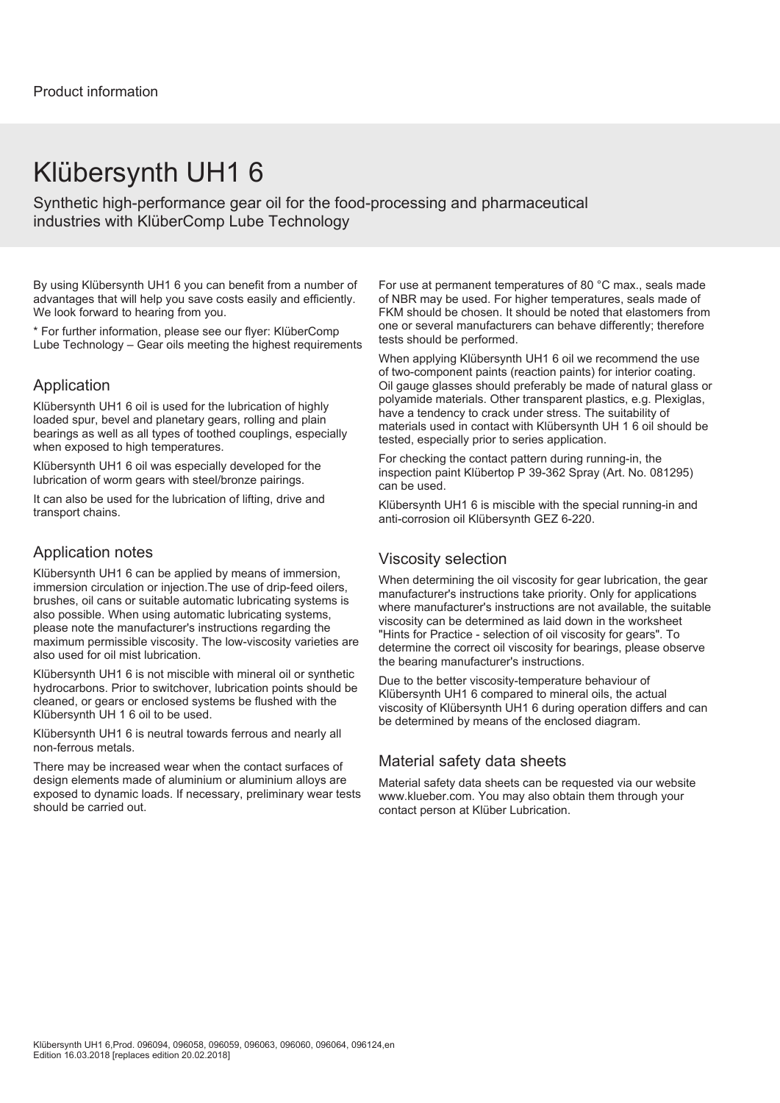### Klübersynth UH1 6

Synthetic high-performance gear oil for the food-processing and pharmaceutical industries with KlüberComp Lube Technology

By using Klübersynth UH1 6 you can benefit from a number of advantages that will help you save costs easily and efficiently. We look forward to hearing from you.

\* For further information, please see our flyer: KlüberComp Lube Technology – Gear oils meeting the highest requirements

#### Application

Klübersynth UH1 6 oil is used for the lubrication of highly loaded spur, bevel and planetary gears, rolling and plain bearings as well as all types of toothed couplings, especially when exposed to high temperatures.

Klübersynth UH1 6 oil was especially developed for the lubrication of worm gears with steel/bronze pairings.

It can also be used for the lubrication of lifting, drive and transport chains.

#### Application notes

Klübersynth UH1 6 can be applied by means of immersion, immersion circulation or injection.The use of drip-feed oilers, brushes, oil cans or suitable automatic lubricating systems is also possible. When using automatic lubricating systems, please note the manufacturer's instructions regarding the maximum permissible viscosity. The low-viscosity varieties are also used for oil mist lubrication.

Klübersynth UH1 6 is not miscible with mineral oil or synthetic hydrocarbons. Prior to switchover, lubrication points should be cleaned, or gears or enclosed systems be flushed with the Klübersynth UH 1 6 oil to be used.

Klübersynth UH1 6 is neutral towards ferrous and nearly all non-ferrous metals.

There may be increased wear when the contact surfaces of design elements made of aluminium or aluminium alloys are exposed to dynamic loads. If necessary, preliminary wear tests should be carried out.

For use at permanent temperatures of 80 °C max., seals made of NBR may be used. For higher temperatures, seals made of FKM should be chosen. It should be noted that elastomers from one or several manufacturers can behave differently; therefore tests should be performed.

When applying Klübersynth UH1 6 oil we recommend the use of two-component paints (reaction paints) for interior coating. Oil gauge glasses should preferably be made of natural glass or polyamide materials. Other transparent plastics, e.g. Plexiglas, have a tendency to crack under stress. The suitability of materials used in contact with Klübersynth UH 1 6 oil should be tested, especially prior to series application.

For checking the contact pattern during running-in, the inspection paint Klübertop P 39-362 Spray (Art. No. 081295) can be used.

Klübersynth UH1 6 is miscible with the special running-in and anti-corrosion oil Klübersynth GEZ 6-220.

#### Viscosity selection

When determining the oil viscosity for gear lubrication, the gear manufacturer's instructions take priority. Only for applications where manufacturer's instructions are not available, the suitable viscosity can be determined as laid down in the worksheet "Hints for Practice - selection of oil viscosity for gears". To determine the correct oil viscosity for bearings, please observe the bearing manufacturer's instructions.

Due to the better viscosity-temperature behaviour of Klübersynth UH1 6 compared to mineral oils, the actual viscosity of Klübersynth UH1 6 during operation differs and can be determined by means of the enclosed diagram.

#### Material safety data sheets

Material safety data sheets can be requested via our website www.klueber.com. You may also obtain them through your contact person at Klüber Lubrication.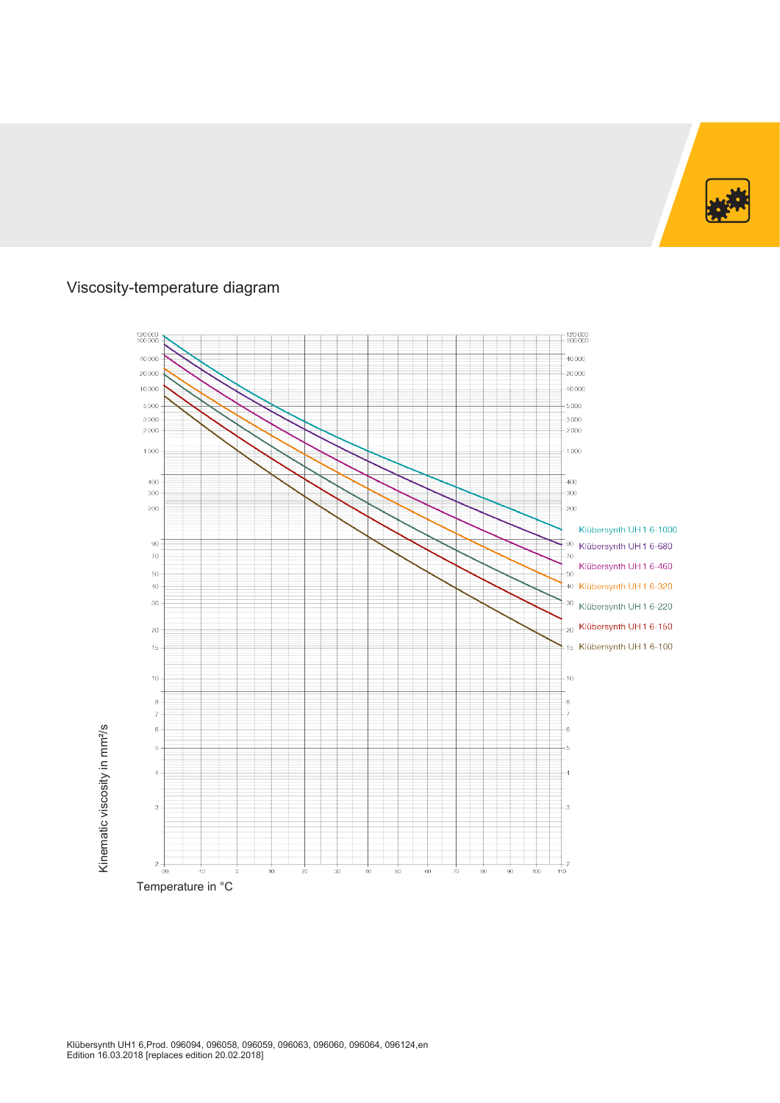

### Viscosity-temperature diagram

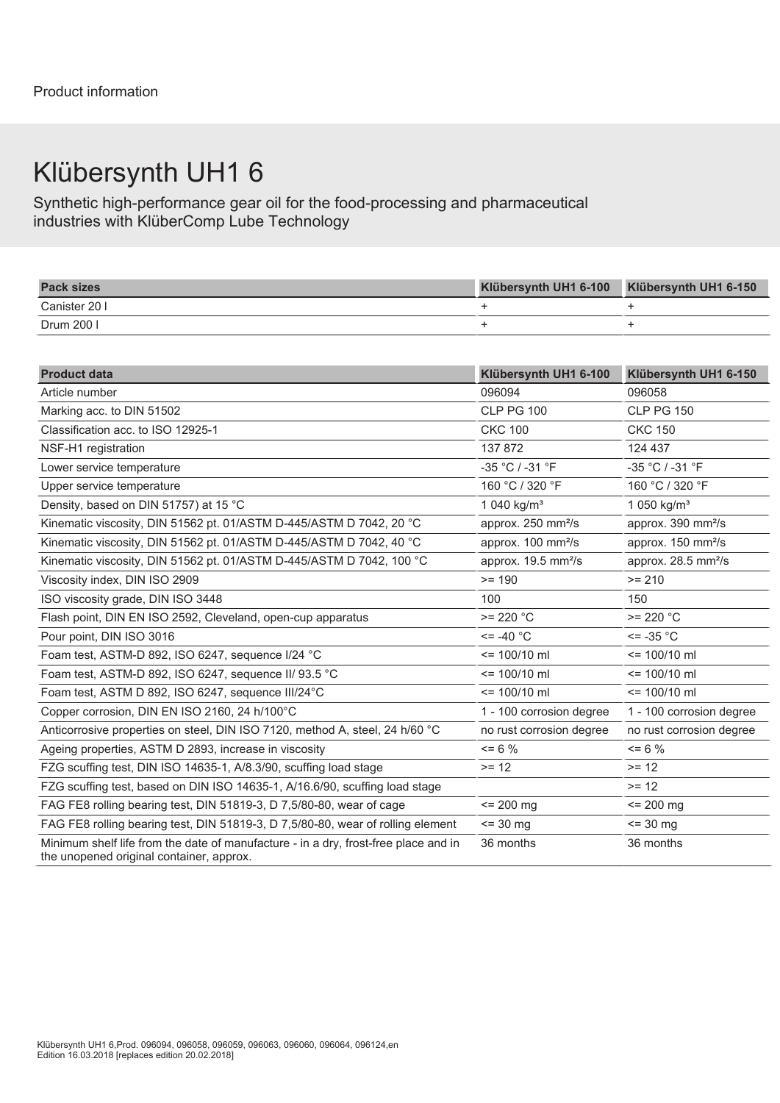# Klübersynth UH1 6

Synthetic high-performance gear oil for the food-processing and pharmaceutical industries with KlüberComp Lube Technology

| <b>Pack sizes</b> | bersynth UH1 6-100<br>1/1251 | Klübersynth UH1 6-150 |
|-------------------|------------------------------|-----------------------|
| Canister 20 I     |                              |                       |
| Drum 200          |                              |                       |

| <b>Product data</b>                                                                                                             | Klübersynth UH1 6-100           | Klübersynth UH1 6-150           |
|---------------------------------------------------------------------------------------------------------------------------------|---------------------------------|---------------------------------|
| Article number                                                                                                                  | 096094                          | 096058                          |
| Marking acc. to DIN 51502                                                                                                       | <b>CLP PG 100</b>               | <b>CLP PG 150</b>               |
| Classification acc. to ISO 12925-1                                                                                              | <b>CKC 100</b>                  | <b>CKC 150</b>                  |
| NSF-H1 registration                                                                                                             | 137 872                         | 124 437                         |
| Lower service temperature                                                                                                       | -35 °C / -31 °F                 | -35 °C / -31 °F                 |
| Upper service temperature                                                                                                       | 160 °C / 320 °F                 | 160 °C / 320 °F                 |
| Density, based on DIN 51757) at 15 °C                                                                                           | 1 040 kg/ $m^3$                 | 1 050 kg/m <sup>3</sup>         |
| Kinematic viscosity, DIN 51562 pt. 01/ASTM D-445/ASTM D 7042, 20 °C                                                             | approx. 250 mm <sup>2</sup> /s  | approx. 390 mm <sup>2</sup> /s  |
| Kinematic viscosity, DIN 51562 pt. 01/ASTM D-445/ASTM D 7042, 40 °C                                                             | approx. 100 mm <sup>2</sup> /s  | approx. 150 mm <sup>2</sup> /s  |
| Kinematic viscosity, DIN 51562 pt. 01/ASTM D-445/ASTM D 7042, 100 °C                                                            | approx. 19.5 mm <sup>2</sup> /s | approx. 28.5 mm <sup>2</sup> /s |
| Viscosity index, DIN ISO 2909                                                                                                   | $>= 190$                        | $>= 210$                        |
| ISO viscosity grade, DIN ISO 3448                                                                                               | 100                             | 150                             |
| Flash point, DIN EN ISO 2592, Cleveland, open-cup apparatus                                                                     | $>= 220 °C$                     | $>= 220 °C$                     |
| Pour point, DIN ISO 3016                                                                                                        | $\le$ = -40 $^{\circ}$ C        | $\le$ = -35 °C                  |
| Foam test, ASTM-D 892, ISO 6247, sequence I/24 °C                                                                               | $= 100/10$ ml                   | $= 100/10$ ml                   |
| Foam test, ASTM-D 892, ISO 6247, sequence II/ 93.5 °C                                                                           | $= 100/10$ ml                   | $\le$ 100/10 ml                 |
| Foam test, ASTM D 892, ISO 6247, sequence III/24°C                                                                              | $= 100/10$ ml                   | $= 100/10$ ml                   |
| Copper corrosion, DIN EN ISO 2160, 24 h/100°C                                                                                   | 1 - 100 corrosion degree        | 1 - 100 corrosion degree        |
| Anticorrosive properties on steel, DIN ISO 7120, method A, steel, 24 h/60 °C                                                    | no rust corrosion degree        | no rust corrosion degree        |
| Ageing properties, ASTM D 2893, increase in viscosity                                                                           | $\leq$ 6 %                      | $= 6 \%$                        |
| FZG scuffing test, DIN ISO 14635-1, A/8.3/90, scuffing load stage                                                               | $>= 12$                         | $>= 12$                         |
| FZG scuffing test, based on DIN ISO 14635-1, A/16.6/90, scuffing load stage                                                     |                                 | $>= 12$                         |
| FAG FE8 rolling bearing test, DIN 51819-3, D 7,5/80-80, wear of cage                                                            | $= 200$ mg                      | $\le$ 200 mg                    |
| FAG FE8 rolling bearing test, DIN 51819-3, D 7,5/80-80, wear of rolling element                                                 | $\le$ 30 mg                     | $\le$ 30 mg                     |
| Minimum shelf life from the date of manufacture - in a dry, frost-free place and in<br>the unopened original container, approx. | 36 months                       | 36 months                       |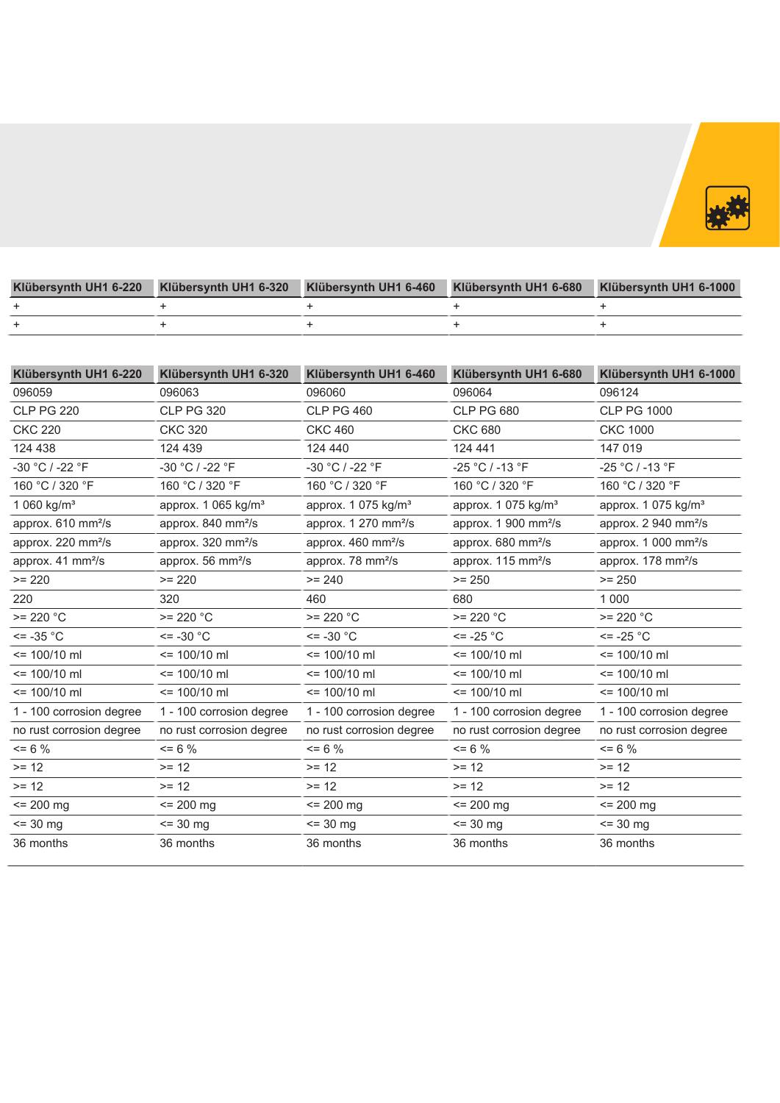

| Klübersynth UH1 6-220 |  | Klübersynth UH1 6-320 Klübersynth UH1 6-460 Klübersynth UH1 6-680 Klübersynth UH1 6-1000 |
|-----------------------|--|------------------------------------------------------------------------------------------|
|                       |  |                                                                                          |
|                       |  |                                                                                          |

| Klübersynth UH1 6-220              | Klübersynth UH1 6-320           | Klübersynth UH1 6-460            | Klübersynth UH1 6-680                    | Klübersynth UH1 6-1000            |
|------------------------------------|---------------------------------|----------------------------------|------------------------------------------|-----------------------------------|
| 096059                             | 096063                          | 096060                           | 096064                                   | 096124                            |
| <b>CLP PG 220</b>                  | <b>CLP PG 320</b>               | <b>CLP PG 460</b>                | <b>CLP PG 680</b>                        | <b>CLP PG 1000</b>                |
| <b>CKC 220</b>                     | <b>CKC 320</b>                  | <b>CKC 460</b>                   | <b>CKC 680</b>                           | <b>CKC 1000</b>                   |
| 124 438                            | 124 439                         | 124 440                          | 124 441                                  | 147 019                           |
| -30 °C / -22 °F                    | -30 °C / -22 °F                 | -30 °C / -22 °F                  | -25 °C / -13 °F                          | -25 °C / -13 °F                   |
| 160 °C / 320 °F                    | 160 °C / 320 °F                 | 160 °C / 320 °F                  | 160 °C / 320 °F                          | 160 °C / 320 °F                   |
| 1 060 kg/m <sup>3</sup>            | approx. 1 065 kg/m <sup>3</sup> | approx. 1 075 kg/m <sup>3</sup>  | approx. 1 075 kg/m <sup>3</sup>          | approx. 1 075 kg/m <sup>3</sup>   |
| approx. 610 mm <sup>2</sup> /s     | approx. 840 mm <sup>2</sup> /s  | approx. 1 270 mm <sup>2</sup> /s | approx. $1\,900 \, \text{mm}^2/\text{s}$ | approx. $2940$ mm <sup>2</sup> /s |
| approx. 220 mm <sup>2</sup> /s     | approx. 320 mm <sup>2</sup> /s  | approx. 460 mm <sup>2</sup> /s   | approx. 680 mm <sup>2</sup> /s           | approx. 1 000 mm <sup>2</sup> /s  |
| approx. $41 \text{ mm}^2/\text{s}$ | approx. 56 mm <sup>2</sup> /s   | approx. 78 mm <sup>2</sup> /s    | approx. 115 mm <sup>2</sup> /s           | approx. 178 mm <sup>2</sup> /s    |
| $>= 220$                           | $>= 220$                        | $>= 240$                         | $>= 250$                                 | $>= 250$                          |
| 220                                | 320                             | 460                              | 680                                      | 1 0 0 0                           |
| $>= 220 °C$                        | $>= 220 °C$                     | $>= 220 °C$                      | $>= 220 °C$                              | $>= 220 °C$                       |
| $\le$ = -35 °C                     | $\le$ = -30 $^{\circ}$ C        | $\le$ = -30 $^{\circ}$ C         | $\le$ -25 °C                             | $\le$ -25 °C                      |
| $\le$ 100/10 ml                    | $= 100/10$ ml                   | $= 100/10$ ml                    | $= 100/10$ ml                            | $\le$ 100/10 ml                   |
| $\le$ 100/10 ml                    | $= 100/10$ ml                   | $= 100/10$ ml                    | $= 100/10$ ml                            | $\le$ 100/10 ml                   |
| $= 100/10$ ml                      | $= 100/10$ ml                   | $= 100/10$ ml                    | $= 100/10$ ml                            | $= 100/10$ ml                     |
| 1 - 100 corrosion degree           | 1 - 100 corrosion degree        | 1 - 100 corrosion degree         | 1 - 100 corrosion degree                 | 1 - 100 corrosion degree          |
| no rust corrosion degree           | no rust corrosion degree        | no rust corrosion degree         | no rust corrosion degree                 | no rust corrosion degree          |
| $= 6 \%$                           | $= 6 \%$                        | $= 6 \%$                         | $= 6 \%$                                 | $= 6 \%$                          |
| $>= 12$                            | $>= 12$                         | $>= 12$                          | $>= 12$                                  | $>= 12$                           |
| $>= 12$                            | $>= 12$                         | $>= 12$                          | $>= 12$                                  | $>= 12$                           |
| $= 200$ mg                         | $= 200$ mg                      | $= 200$ mg                       | $= 200$ mg                               | $= 200$ mg                        |
| $= 30$ mg                          | $= 30$ mg                       | $= 30$ mg                        | $\le$ 30 mg                              | $= 30$ mg                         |
| 36 months                          | 36 months                       | 36 months                        | 36 months                                | 36 months                         |
|                                    |                                 |                                  |                                          |                                   |